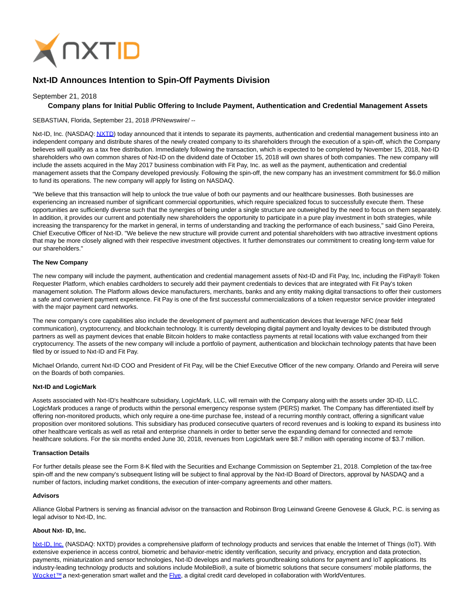

# **Nxt-ID Announces Intention to Spin-Off Payments Division**

## September 21, 2018

## **Company plans for Initial Public Offering to Include Payment, Authentication and Credential Management Assets**

## SEBASTIAN, Florida, September 21, 2018 /PRNewswire/ --

Nxt-ID, Inc. (NASDAQ[: NXTD\)](http://investors.nxt-id.com/) today announced that it intends to separate its payments, authentication and credential management business into an independent company and distribute shares of the newly created company to its shareholders through the execution of a spin-off, which the Company believes will qualify as a tax free distribution. Immediately following the transaction, which is expected to be completed by November 15, 2018, Nxt-ID shareholders who own common shares of Nxt-ID on the dividend date of October 15, 2018 will own shares of both companies. The new company will include the assets acquired in the May 2017 business combination with Fit Pay, Inc. as well as the payment, authentication and credential management assets that the Company developed previously. Following the spin-off, the new company has an investment commitment for \$6.0 million to fund its operations. The new company will apply for listing on NASDAQ.

"We believe that this transaction will help to unlock the true value of both our payments and our healthcare businesses. Both businesses are experiencing an increased number of significant commercial opportunities, which require specialized focus to successfully execute them. These opportunities are sufficiently diverse such that the synergies of being under a single structure are outweighed by the need to focus on them separately. In addition, it provides our current and potentially new shareholders the opportunity to participate in a pure play investment in both strategies, while increasing the transparency for the market in general, in terms of understanding and tracking the performance of each business," said Gino Pereira, Chief Executive Officer of Nxt-ID. "We believe the new structure will provide current and potential shareholders with two attractive investment options that may be more closely aligned with their respective investment objectives. It further demonstrates our commitment to creating long-term value for our shareholders."

## **The New Company**

The new company will include the payment, authentication and credential management assets of Nxt-ID and Fit Pay, Inc, including the FitPay® Token Requester Platform, which enables cardholders to securely add their payment credentials to devices that are integrated with Fit Pay's token management solution. The Platform allows device manufacturers, merchants, banks and any entity making digital transactions to offer their customers a safe and convenient payment experience. Fit Pay is one of the first successful commercializations of a token requestor service provider integrated with the major payment card networks.

The new company's core capabilities also include the development of payment and authentication devices that leverage NFC (near field communication), cryptocurrency, and blockchain technology. It is currently developing digital payment and loyalty devices to be distributed through partners as well as payment devices that enable Bitcoin holders to make contactless payments at retail locations with value exchanged from their cryptocurrency. The assets of the new company will include a portfolio of payment, authentication and blockchain technology patents that have been filed by or issued to Nxt-ID and Fit Pay.

Michael Orlando, current Nxt-ID COO and President of Fit Pay, will be the Chief Executive Officer of the new company. Orlando and Pereira will serve on the Boards of both companies.

#### **Nxt-ID and LogicMark**

Assets associated with Nxt-ID's healthcare subsidiary, LogicMark, LLC, will remain with the Company along with the assets under 3D-ID, LLC. LogicMark produces a range of products within the personal emergency response system (PERS) market. The Company has differentiated itself by offering non-monitored products, which only require a one-time purchase fee, instead of a recurring monthly contract, offering a significant value proposition over monitored solutions. This subsidiary has produced consecutive quarters of record revenues and is looking to expand its business into other healthcare verticals as well as retail and enterprise channels in order to better serve the expanding demand for connected and remote healthcare solutions. For the six months ended June 30, 2018, revenues from LogicMark were \$8.7 million with operating income of \$3.7 million.

#### **Transaction Details**

For further details please see the Form 8-K filed with the Securities and Exchange Commission on September 21, 2018. Completion of the tax-free spin-off and the new company's subsequent listing will be subject to final approval by the Nxt-ID Board of Directors, approval by NASDAQ and a number of factors, including market conditions, the execution of inter-company agreements and other matters.

## **Advisors**

Alliance Global Partners is serving as financial advisor on the transaction and Robinson Brog Leinwand Greene Genovese & Gluck, P.C. is serving as legal advisor to Nxt-ID, Inc.

## **About Nxt- ID, Inc.**

[Nxt-ID, Inc. \(](http://www.nxt-id.com/)NASDAQ: NXTD) provides a comprehensive platform of technology products and services that enable the Internet of Things (IoT). With extensive experience in access control, biometric and behavior-metric identity verification, security and privacy, encryption and data protection, payments, miniaturization and sensor technologies, Nxt-ID develops and markets groundbreaking solutions for payment and IoT applications. Its industry-leading technology products and solutions include MobileBio®, a suite of biometric solutions that secure consumers' mobile platforms, the Wocket™ a next-generation smart wallet and the [Flye,](https://www.flye.com/) a digital credit card developed in collaboration with WorldVentures.